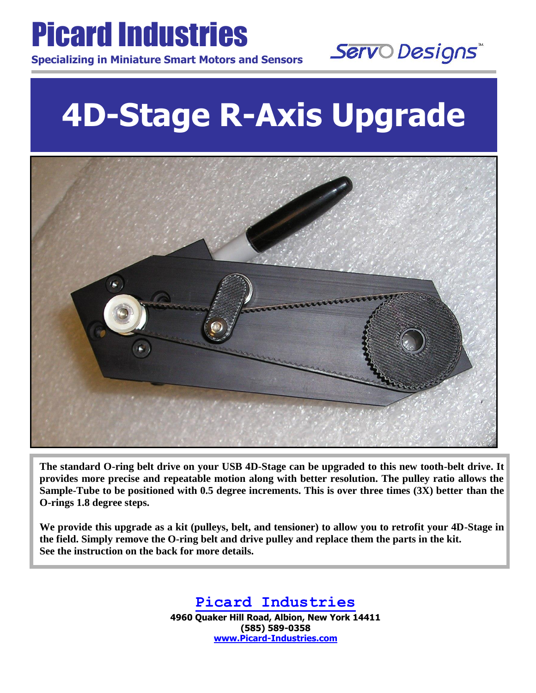

L

L

Servo Designs

# **4D-Stage R-Axis Upgrade**



**The standard O-ring belt drive on your USB 4D-Stage can be upgraded to this new tooth-belt drive. It provides more precise and repeatable motion along with better resolution. The pulley ratio allows the Sample-Tube to be positioned with 0.5 degree increments. This is over three times (3X) better than the O-rings 1.8 degree steps.** 

**We provide this upgrade as a kit (pulleys, belt, and tensioner) to allow you to retrofit your 4D-Stage in the field. Simply remove the O-ring belt and drive pulley and replace them the parts in the kit. See the instruction on the back for more details.**

## **Picard Industries**

**4960 Quaker Hill Road, Albion, New York 14411 (585) 589-0358 [www.Picard-Industries.com](http://www.picard-industries.com/)**